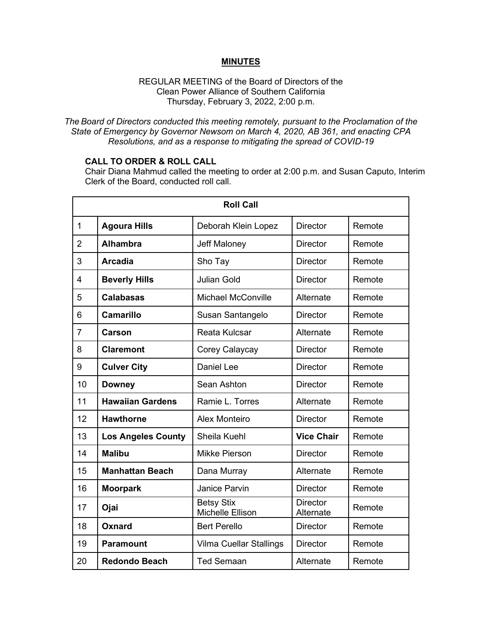### **MINUTES**

### REGULAR MEETING of the Board of Directors of the Clean Power Alliance of Southern California Thursday, February 3, 2022, 2:00 p.m.

*The Board of Directors conducted this meeting remotely, pursuant to the Proclamation of the State of Emergency by Governor Newsom on March 4, 2020, AB 361, and enacting CPA Resolutions, and as a response to mitigating the spread of COVID-19*

## **CALL TO ORDER & ROLL CALL**

Chair Diana Mahmud called the meeting to order at 2:00 p.m. and Susan Caputo, Interim Clerk of the Board, conducted roll call.

| <b>Roll Call</b> |                           |                                       |                              |        |  |
|------------------|---------------------------|---------------------------------------|------------------------------|--------|--|
| $\mathbf{1}$     | <b>Agoura Hills</b>       | Deborah Klein Lopez                   | <b>Director</b>              | Remote |  |
| $\overline{2}$   | <b>Alhambra</b>           | <b>Jeff Maloney</b>                   | <b>Director</b>              | Remote |  |
| 3                | <b>Arcadia</b>            | Sho Tay                               | <b>Director</b>              | Remote |  |
| 4                | <b>Beverly Hills</b>      | <b>Julian Gold</b>                    | <b>Director</b>              | Remote |  |
| 5                | <b>Calabasas</b>          | <b>Michael McConville</b>             | Alternate                    | Remote |  |
| 6                | <b>Camarillo</b>          | Susan Santangelo                      | <b>Director</b>              | Remote |  |
| 7                | <b>Carson</b>             | <b>Reata Kulcsar</b>                  | Alternate                    | Remote |  |
| 8                | <b>Claremont</b>          | Corey Calaycay                        | <b>Director</b>              | Remote |  |
| 9                | <b>Culver City</b>        | <b>Daniel Lee</b>                     | <b>Director</b>              | Remote |  |
| 10               | <b>Downey</b>             | Sean Ashton                           | <b>Director</b>              | Remote |  |
| 11               | <b>Hawaiian Gardens</b>   | Ramie L. Torres                       | Alternate                    | Remote |  |
| 12               | <b>Hawthorne</b>          | Alex Monteiro                         | <b>Director</b>              | Remote |  |
| 13               | <b>Los Angeles County</b> | Sheila Kuehl                          | <b>Vice Chair</b>            | Remote |  |
| 14               | <b>Malibu</b>             | <b>Mikke Pierson</b>                  | Director                     | Remote |  |
| 15               | <b>Manhattan Beach</b>    | Dana Murray                           | Alternate                    | Remote |  |
| 16               | <b>Moorpark</b>           | Janice Parvin                         | <b>Director</b>              | Remote |  |
| 17               | Ojai                      | <b>Betsy Stix</b><br>Michelle Ellison | <b>Director</b><br>Alternate | Remote |  |
| 18               | Oxnard                    | <b>Bert Perello</b>                   | <b>Director</b>              | Remote |  |
| 19               | <b>Paramount</b>          | <b>Vilma Cuellar Stallings</b>        | Director                     | Remote |  |
| 20               | <b>Redondo Beach</b>      | <b>Ted Semaan</b>                     | Alternate                    | Remote |  |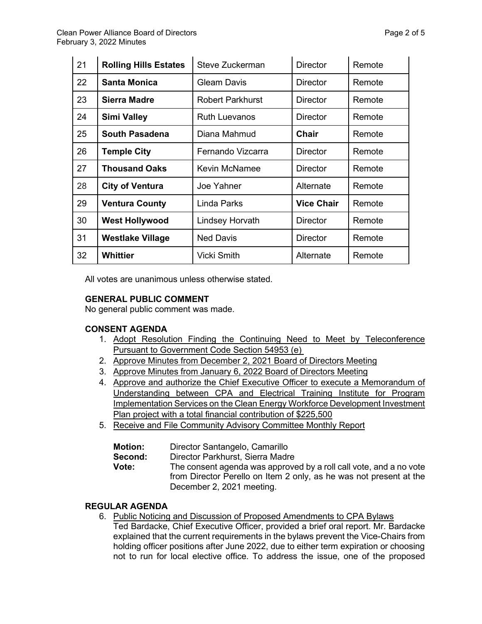| 21 | <b>Rolling Hills Estates</b> | Steve Zuckerman         | <b>Director</b>   | Remote |
|----|------------------------------|-------------------------|-------------------|--------|
| 22 | <b>Santa Monica</b>          | <b>Gleam Davis</b>      | <b>Director</b>   | Remote |
| 23 | Sierra Madre                 | <b>Robert Parkhurst</b> | <b>Director</b>   | Remote |
| 24 | <b>Simi Valley</b>           | <b>Ruth Luevanos</b>    | <b>Director</b>   | Remote |
| 25 | <b>South Pasadena</b>        | Diana Mahmud            | Chair             | Remote |
| 26 | <b>Temple City</b>           | Fernando Vizcarra       | <b>Director</b>   | Remote |
| 27 | <b>Thousand Oaks</b>         | <b>Kevin McNamee</b>    | Director          | Remote |
| 28 | <b>City of Ventura</b>       | Joe Yahner              | Alternate         | Remote |
| 29 | <b>Ventura County</b>        | <b>Linda Parks</b>      | <b>Vice Chair</b> | Remote |
| 30 | <b>West Hollywood</b>        | <b>Lindsey Horvath</b>  | <b>Director</b>   | Remote |
| 31 | <b>Westlake Village</b>      | <b>Ned Davis</b>        | <b>Director</b>   | Remote |
| 32 | Whittier                     | <b>Vicki Smith</b>      | Alternate         | Remote |

All votes are unanimous unless otherwise stated.

## **GENERAL PUBLIC COMMENT**

No general public comment was made.

#### **CONSENT AGENDA**

- 1. Adopt Resolution Finding the Continuing Need to Meet by Teleconference Pursuant to Government Code Section 54953 (e)
- 2. Approve Minutes from December 2, 2021 Board of Directors Meeting
- 3. Approve Minutes from January 6, 2022 Board of Directors Meeting
- 4. Approve and authorize the Chief Executive Officer to execute a Memorandum of Understanding between CPA and Electrical Training Institute for Program Implementation Services on the Clean Energy Workforce Development Investment Plan project with a total financial contribution of \$225,500
- 5. Receive and File Community Advisory Committee Monthly Report

| <b>Motion:</b> | Director Santangelo, Camarillo                                     |  |  |
|----------------|--------------------------------------------------------------------|--|--|
| Second:        | Director Parkhurst, Sierra Madre                                   |  |  |
| Vote:          | The consent agenda was approved by a roll call vote, and a no vote |  |  |
|                | from Director Perello on Item 2 only, as he was not present at the |  |  |
|                | December 2, 2021 meeting.                                          |  |  |

### **REGULAR AGENDA**

- 6. Public Noticing and Discussion of Proposed Amendments to CPA Bylaws
	- Ted Bardacke, Chief Executive Officer, provided a brief oral report. Mr. Bardacke explained that the current requirements in the bylaws prevent the Vice-Chairs from holding officer positions after June 2022, due to either term expiration or choosing not to run for local elective office. To address the issue, one of the proposed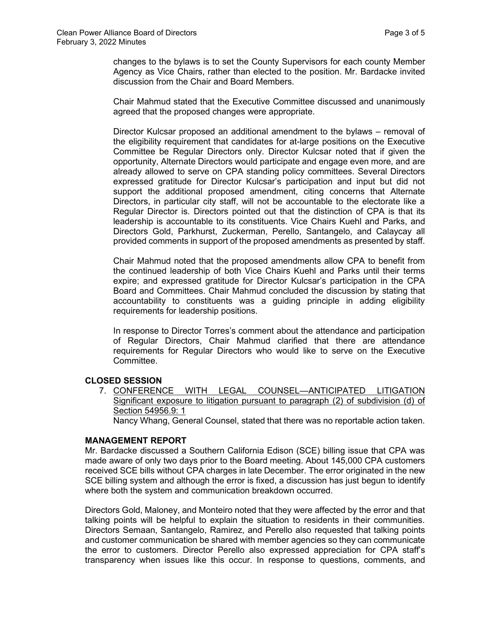changes to the bylaws is to set the County Supervisors for each county Member Agency as Vice Chairs, rather than elected to the position. Mr. Bardacke invited discussion from the Chair and Board Members.

Chair Mahmud stated that the Executive Committee discussed and unanimously agreed that the proposed changes were appropriate.

Director Kulcsar proposed an additional amendment to the bylaws – removal of the eligibility requirement that candidates for at-large positions on the Executive Committee be Regular Directors only. Director Kulcsar noted that if given the opportunity, Alternate Directors would participate and engage even more, and are already allowed to serve on CPA standing policy committees. Several Directors expressed gratitude for Director Kulcsar's participation and input but did not support the additional proposed amendment, citing concerns that Alternate Directors, in particular city staff, will not be accountable to the electorate like a Regular Director is. Directors pointed out that the distinction of CPA is that its leadership is accountable to its constituents. Vice Chairs Kuehl and Parks, and Directors Gold, Parkhurst, Zuckerman, Perello, Santangelo, and Calaycay all provided comments in support of the proposed amendments as presented by staff.

Chair Mahmud noted that the proposed amendments allow CPA to benefit from the continued leadership of both Vice Chairs Kuehl and Parks until their terms expire; and expressed gratitude for Director Kulcsar's participation in the CPA Board and Committees. Chair Mahmud concluded the discussion by stating that accountability to constituents was a guiding principle in adding eligibility requirements for leadership positions.

In response to Director Torres's comment about the attendance and participation of Regular Directors, Chair Mahmud clarified that there are attendance requirements for Regular Directors who would like to serve on the Executive Committee.

## **CLOSED SESSION**

7. CONFERENCE WITH LEGAL COUNSEL—ANTICIPATED LITIGATION Significant exposure to litigation pursuant to paragraph (2) of subdivision (d) of Section 54956.9: 1

Nancy Whang, General Counsel, stated that there was no reportable action taken.

#### **MANAGEMENT REPORT**

Mr. Bardacke discussed a Southern California Edison (SCE) billing issue that CPA was made aware of only two days prior to the Board meeting. About 145,000 CPA customers received SCE bills without CPA charges in late December. The error originated in the new SCE billing system and although the error is fixed, a discussion has just begun to identify where both the system and communication breakdown occurred.

Directors Gold, Maloney, and Monteiro noted that they were affected by the error and that talking points will be helpful to explain the situation to residents in their communities. Directors Semaan, Santangelo, Ramirez, and Perello also requested that talking points and customer communication be shared with member agencies so they can communicate the error to customers. Director Perello also expressed appreciation for CPA staff's transparency when issues like this occur. In response to questions, comments, and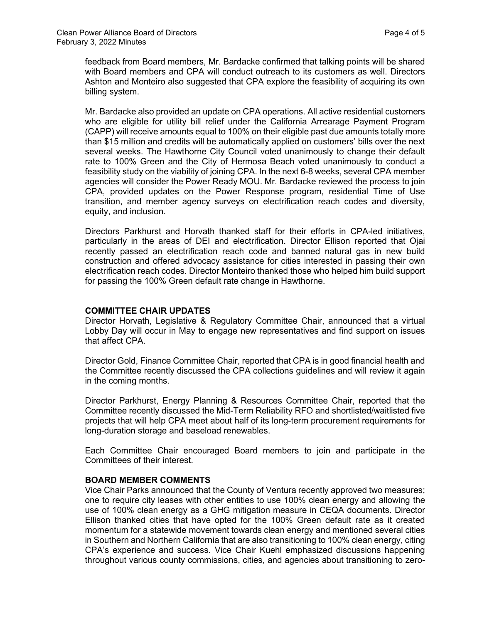feedback from Board members, Mr. Bardacke confirmed that talking points will be shared with Board members and CPA will conduct outreach to its customers as well. Directors Ashton and Monteiro also suggested that CPA explore the feasibility of acquiring its own billing system.

Mr. Bardacke also provided an update on CPA operations. All active residential customers who are eligible for utility bill relief under the California Arrearage Payment Program (CAPP) will receive amounts equal to 100% on their eligible past due amounts totally more than \$15 million and credits will be automatically applied on customers' bills over the next several weeks. The Hawthorne City Council voted unanimously to change their default rate to 100% Green and the City of Hermosa Beach voted unanimously to conduct a feasibility study on the viability of joining CPA. In the next 6-8 weeks, several CPA member agencies will consider the Power Ready MOU. Mr. Bardacke reviewed the process to join CPA, provided updates on the Power Response program, residential Time of Use transition, and member agency surveys on electrification reach codes and diversity, equity, and inclusion.

Directors Parkhurst and Horvath thanked staff for their efforts in CPA-led initiatives, particularly in the areas of DEI and electrification. Director Ellison reported that Ojai recently passed an electrification reach code and banned natural gas in new build construction and offered advocacy assistance for cities interested in passing their own electrification reach codes. Director Monteiro thanked those who helped him build support for passing the 100% Green default rate change in Hawthorne.

## **COMMITTEE CHAIR UPDATES**

Director Horvath, Legislative & Regulatory Committee Chair, announced that a virtual Lobby Day will occur in May to engage new representatives and find support on issues that affect CPA.

Director Gold, Finance Committee Chair, reported that CPA is in good financial health and the Committee recently discussed the CPA collections guidelines and will review it again in the coming months.

Director Parkhurst, Energy Planning & Resources Committee Chair, reported that the Committee recently discussed the Mid-Term Reliability RFO and shortlisted/waitlisted five projects that will help CPA meet about half of its long-term procurement requirements for long-duration storage and baseload renewables.

Each Committee Chair encouraged Board members to join and participate in the Committees of their interest.

#### **BOARD MEMBER COMMENTS**

Vice Chair Parks announced that the County of Ventura recently approved two measures; one to require city leases with other entities to use 100% clean energy and allowing the use of 100% clean energy as a GHG mitigation measure in CEQA documents. Director Ellison thanked cities that have opted for the 100% Green default rate as it created momentum for a statewide movement towards clean energy and mentioned several cities in Southern and Northern California that are also transitioning to 100% clean energy, citing CPA's experience and success. Vice Chair Kuehl emphasized discussions happening throughout various county commissions, cities, and agencies about transitioning to zero